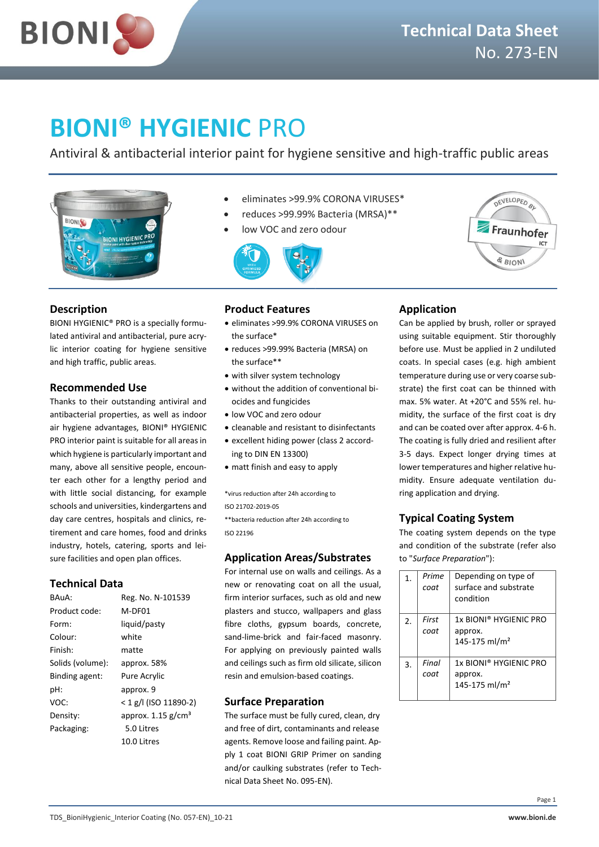

# **BIONI® HYGIENIC** PRO

Antiviral & antibacterial interior paint for hygiene sensitive and high-traffic public areas



- eliminates >99.9% CORONA VIRUSES\*
- reduces >99.99% Bacteria (MRSA)\*\*
- low VOC and zero odour





**N**

# **Description**

BIONI HYGIENIC® PRO is a specially formulated antiviral and antibacterial, pure acrylic interior coating for hygiene sensitive and high traffic, public areas.

# **Recommended Use**

Thanks to their outstanding antiviral and antibacterial properties, as well as indoor air hygiene advantages, BIONI® HYGIENIC PRO interior paint is suitable for all areas in which hygiene is particularly important and many, above all sensitive people, encounter each other for a lengthy period and with little social distancing, for example schools and universities, kindergartens and day care centres, hospitals and clinics, retirement and care homes, food and drinks industry, hotels, catering, sports and leisure facilities and open plan offices.

# **Technical Data**

| BAUA:            | Reg. No. N-101539                |
|------------------|----------------------------------|
| Product code:    | M-DF01                           |
| Form:            | liquid/pasty                     |
| Colour:          | white                            |
| Finish:          | matte                            |
| Solids (volume): | approx. 58%                      |
| Binding agent:   | Pure Acrylic                     |
| pH:              | approx. 9                        |
| VOC:             | $<$ 1 g/l (ISO 11890-2)          |
| Density:         | approx. $1.15$ g/cm <sup>3</sup> |
| Packaging:       | 5.0 Litres                       |
|                  | 10.0 Litres                      |

# **Product Features**

- eliminates >99.9% CORONA VIRUSES on the surface\*
- reduces >99.99% Bacteria (MRSA) on the surface\*\*
- with silver system technology
- without the addition of conventional biocides and fungicides
- low VOC and zero odour
- cleanable and resistant to disinfectants
- excellent hiding power (class 2 according to DIN EN 13300)
- matt finish and easy to apply

\*virus reduction after 24h according to ISO 21702-2019-05

\*\*bacteria reduction after 24h according to ISO 22196

# **Application Areas/Substrates**

For internal use on walls and ceilings. As a new or renovating coat on all the usual, firm interior surfaces, such as old and new plasters and stucco, wallpapers and glass fibre cloths, gypsum boards, concrete, sand-lime-brick and fair-faced masonry. For applying on previously painted walls and ceilings such as firm old silicate, silicon resin and emulsion-based coatings.

# **Surface Preparation**

The surface must be fully cured, clean, dry and free of dirt, contaminants and release agents. Remove loose and failing paint. Apply 1 coat BIONI GRIP Primer on sanding and/or caulking substrates (refer to Technical Data Sheet No. 095-EN).

# **Application**

Can be applied by brush, roller or sprayed using suitable equipment. Stir thoroughly before use. Must be applied in 2 undiluted coats. In special cases (e.g. high ambient temperature during use or very coarse substrate) the first coat can be thinned with max. 5% water. At +20°C and 55% rel. humidity, the surface of the first coat is dry and can be coated over after approx. 4-6 h. The coating is fully dried and resilient after 3-5 days. Expect longer drying times at lower temperatures and higher relative humidity. Ensure adequate ventilation during application and drying.

# **Typical Coating System**

The coating system depends on the type and condition of the substrate (refer also to "*Surface Preparation*"):

| 1. | Prime<br>coat     | Depending on type of<br>surface and substrate<br>condition                 |
|----|-------------------|----------------------------------------------------------------------------|
| 2. | First<br><br>coat | 1x BIONI® HYGIFNIC PRO<br>approx.<br>145-175 ml/m <sup>2</sup>             |
| 3. | Final<br>coat     | 1x BIONI <sup>®</sup> HYGIENIC PRO<br>approx.<br>145-175 ml/m <sup>2</sup> |